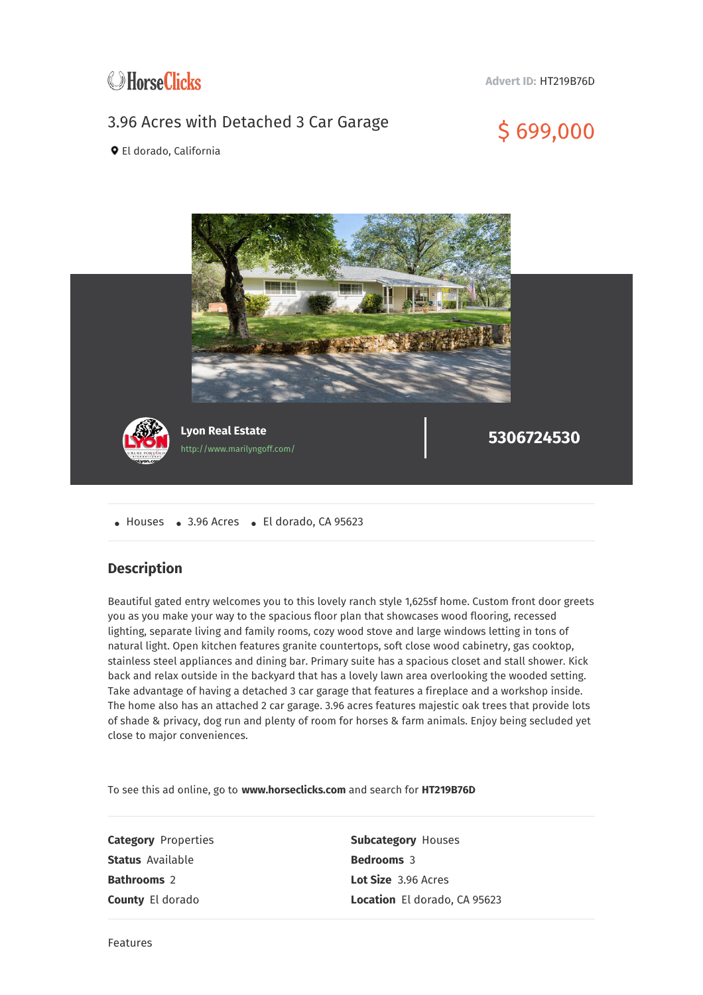

**Advert ID:** HT219B76D

## 3.96 Acres with Detached 3 Car Garage  $$699,000$



El dorado, California



• Houses • 3.96 Acres • El dorado, CA 95623

## **Description**

Beautiful gated entry welcomes you to this lovely ranch style 1,625sf home. Custom front door greets you as you make your way to the spacious floor plan that showcases wood flooring, recessed lighting, separate living and family rooms, cozy wood stove and large windows letting in tons of natural light. Open kitchen features granite countertops, soft close wood cabinetry, gas cooktop, stainless steel appliances and dining bar. Primary suite has a spacious closet and stall shower. Kick back and relax outside in the backyard that has a lovely lawn area overlooking the wooded setting. Take advantage of having a detached 3 car garage that features a fireplace and a workshop inside. The home also has an attached 2 car garage. 3.96 acres features majestic oak trees that provide lots of shade & privacy, dog run and plenty of room for horses & farm animals. Enjoy being secluded yet close to major conveniences.

To see this ad online, go to **www.horseclicks.com** and search for **HT219B76D**

**Status** Available **Bedrooms** 3 **Bathrooms** 2 **Lot Size** 3.96 Acres

**Category** Properties **Subcategory** Houses **County** El dorado **Location** El dorado, CA 95623